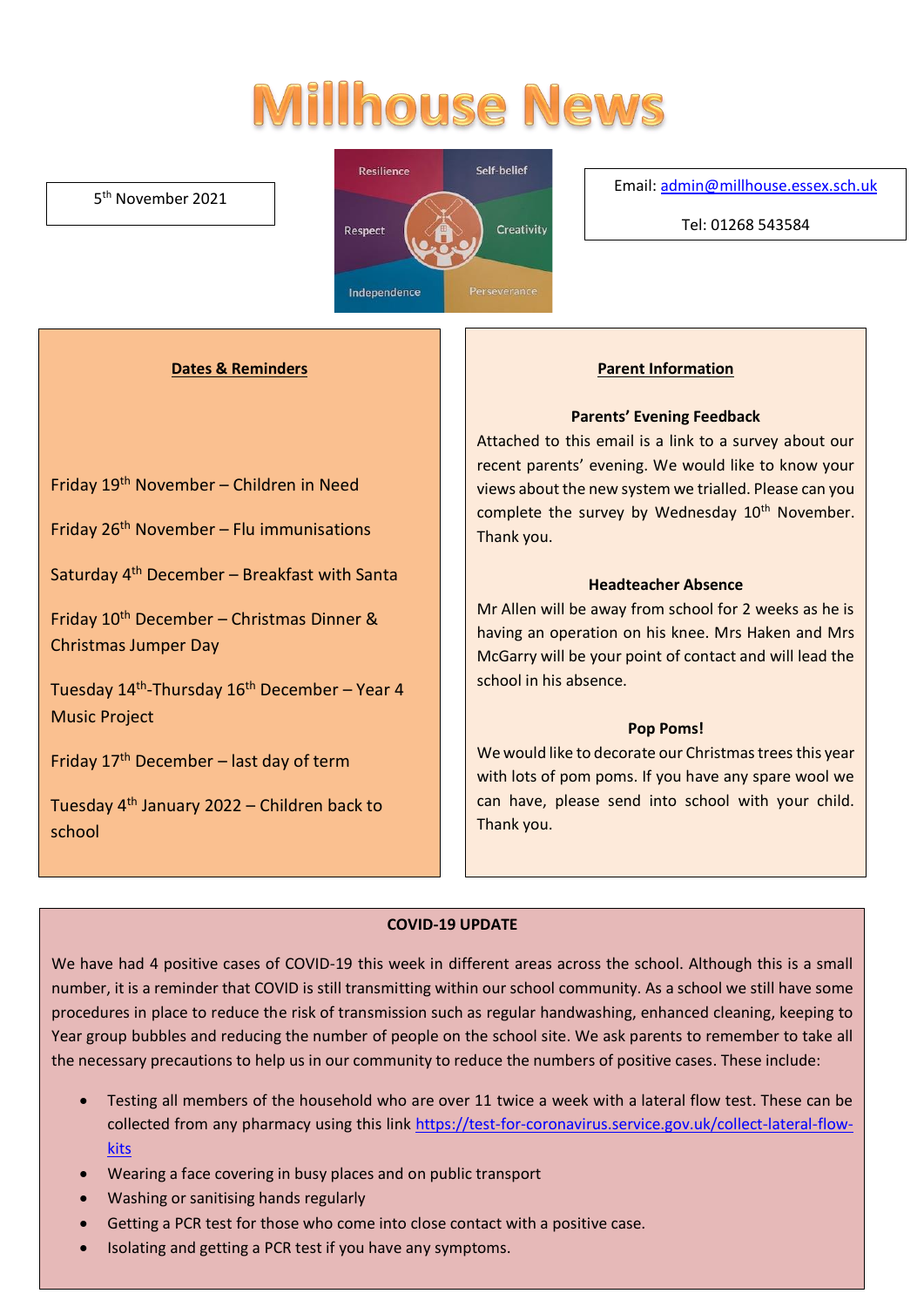# **Millhouse News**

#### 5 th November 2021



#### Email[: admin@millhouse.essex.sch.uk](mailto:admin@millhouse.essex.sch.uk)

Tel: 01268 543584

#### **Dates & Reminders**

Friday 19th November – Children in Need

Friday  $26<sup>th</sup>$  November – Flu immunisations

Saturday 4th December – Breakfast with Santa

Friday  $10^{th}$  December – Christmas Dinner & Christmas Jumper Day

Tuesday 14<sup>th</sup>-Thursday 16<sup>th</sup> December – Year 4 Music Project

Friday  $17<sup>th</sup>$  December – last day of term

Tuesday  $4<sup>th</sup>$  January 2022 – Children back to school

#### **Parent Information**

#### **Parents' Evening Feedback**

Attached to this email is a link to a survey about our recent parents' evening. We would like to know your views about the new system we trialled. Please can you complete the survey by Wednesday 10<sup>th</sup> November. Thank you.

#### **Headteacher Absence**

Mr Allen will be away from school for 2 weeks as he is having an operation on his knee. Mrs Haken and Mrs McGarry will be your point of contact and will lead the school in his absence.

#### **Pop Poms!**

We would like to decorate our Christmas trees this year with lots of pom poms. If you have any spare wool we can have, please send into school with your child. Thank you.

#### **COVID-19 UPDATE**

We have had 4 positive cases of COVID-19 this week in different areas across the school. Although this is a small number, it is a reminder that COVID is still transmitting within our school community. As a school we still have some procedures in place to reduce the risk of transmission such as regular handwashing, enhanced cleaning, keeping to Year group bubbles and reducing the number of people on the school site. We ask parents to remember to take all the necessary precautions to help us in our community to reduce the numbers of positive cases. These include:

- Testing all members of the household who are over 11 twice a week with a lateral flow test. These can be collected from any pharmacy using this link [https://test-for-coronavirus.service.gov.uk/collect-lateral-flow](https://test-for-coronavirus.service.gov.uk/collect-lateral-flow-kits)[kits](https://test-for-coronavirus.service.gov.uk/collect-lateral-flow-kits)
- Wearing a face covering in busy places and on public transport
- Washing or sanitising hands regularly
- Getting a PCR test for those who come into close contact with a positive case.
- Isolating and getting a PCR test if you have any symptoms.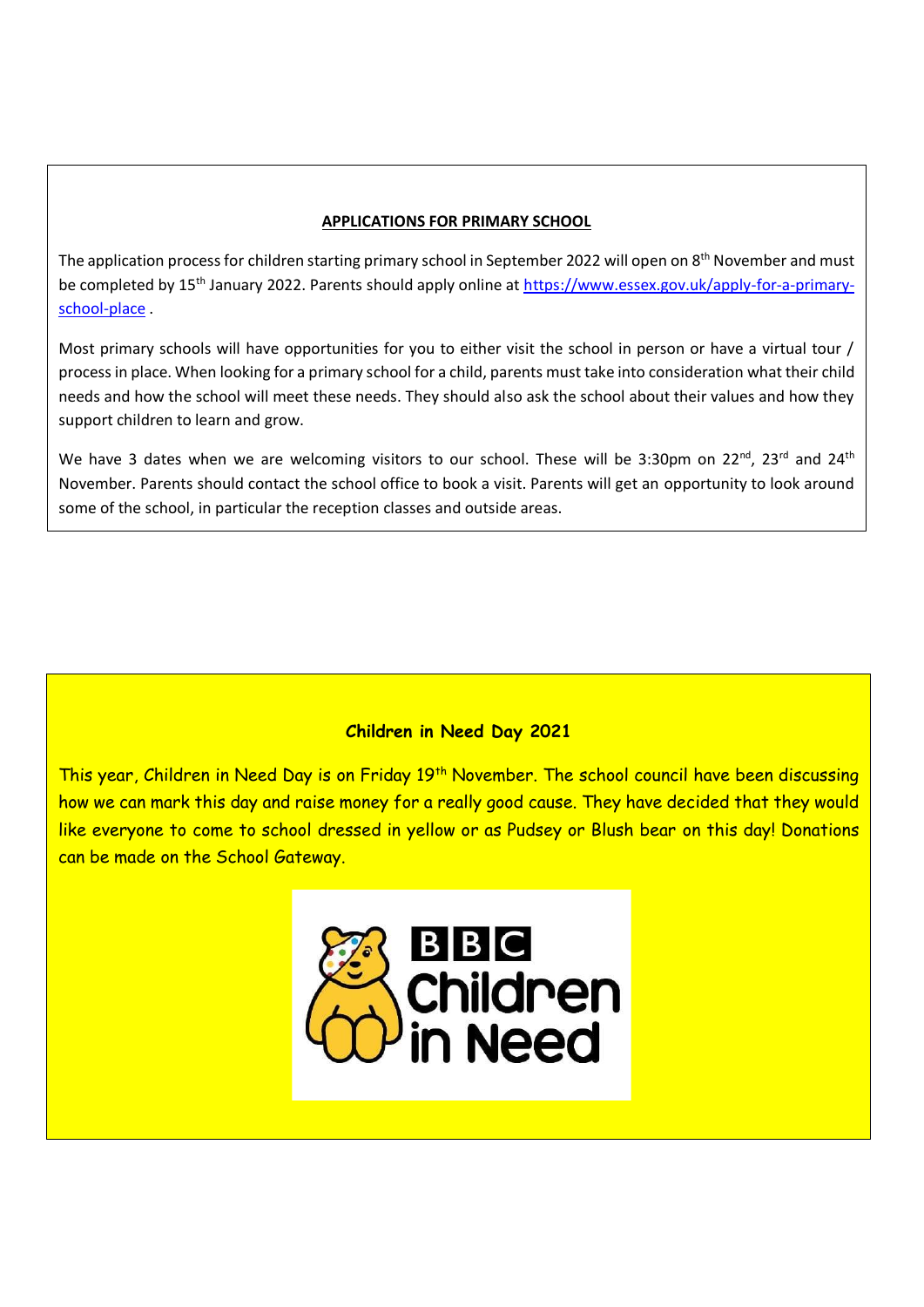#### **APPLICATIONS FOR PRIMARY SCHOOL**

The application process for children starting primary school in September 2022 will open on 8<sup>th</sup> November and must be completed by 15<sup>th</sup> January 2022. Parents should apply online at [https://www.essex.gov.uk/apply-for-a-primary](https://www.essex.gov.uk/apply-for-a-primary-school-place)[school-place](https://www.essex.gov.uk/apply-for-a-primary-school-place) .

Most primary schools will have opportunities for you to either visit the school in person or have a virtual tour / process in place. When looking for a primary school for a child, parents must take into consideration what their child needs and how the school will meet these needs. They should also ask the school about their values and how they support children to learn and grow.

We have 3 dates when we are welcoming visitors to our school. These will be 3:30pm on 22<sup>nd</sup>, 23<sup>rd</sup> and 24<sup>th</sup> November. Parents should contact the school office to book a visit. Parents will get an opportunity to look around some of the school, in particular the reception classes and outside areas.

#### **Children in Need Day 2021**

This year, Children in Need Day is on Friday 19<sup>th</sup> November. The school council have been discussing how we can mark this day and raise money for a really good cause. They have decided that they would like everyone to come to school dressed in yellow or as Pudsey or Blush bear on this day! Donations can be made on the School Gateway.

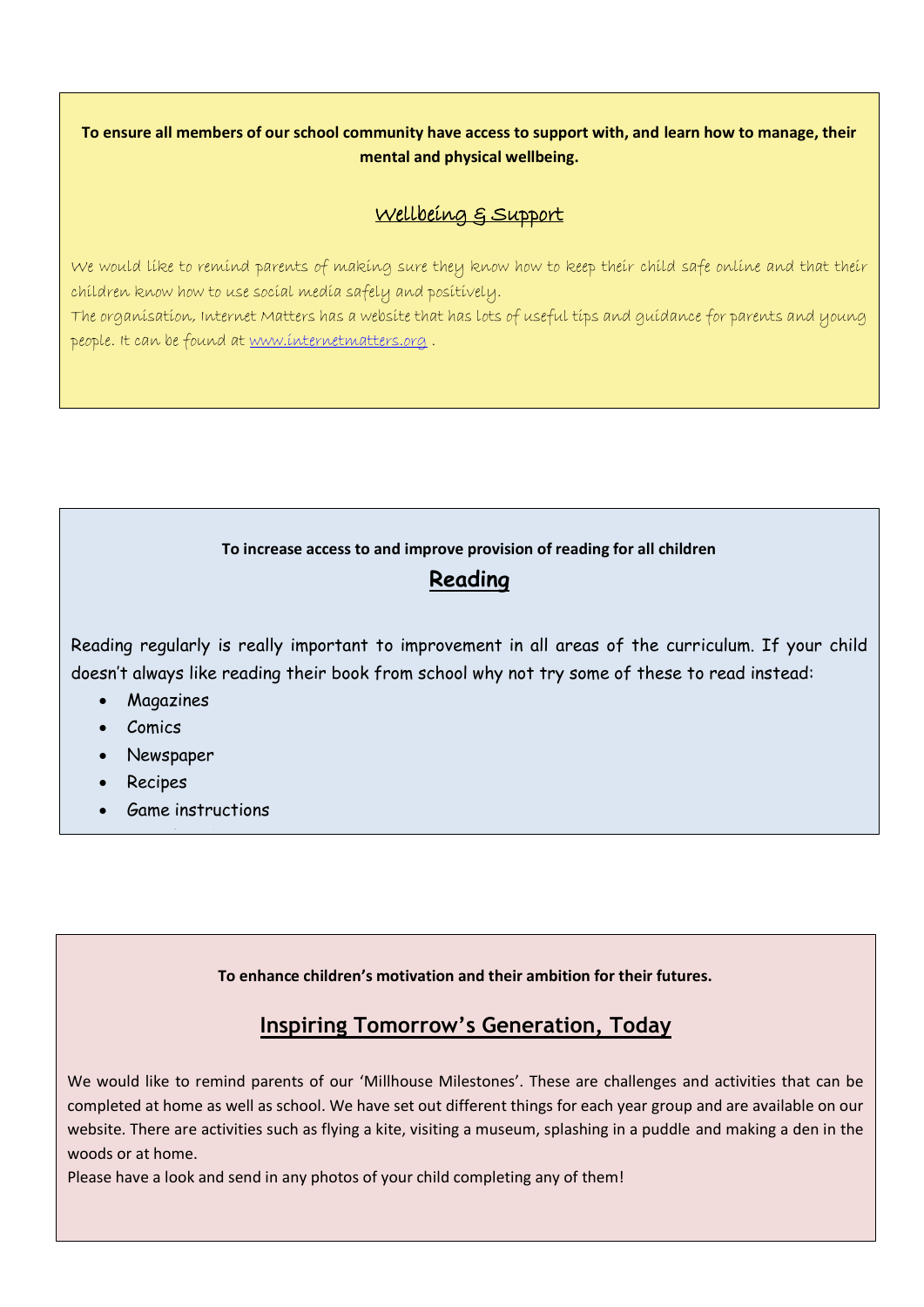#### **To ensure all members of our school community have access to support with, and learn how to manage, their mental and physical wellbeing.**

### Wellbeing & Support

We would like to remind parents of making sure they know how to keep their child safe online and that their children know how to use social media safely and positively.

The organisation, Internet Matters has a website that has lots of useful tips and guidance for parents and young people. It can be found at [www.internetmatters.org](http://www.internetmatters.org/) .

#### **To increase access to and improve provision of reading for all children**

## **Reading**

Reading regularly is really important to improvement in all areas of the curriculum. If your child doesn't always like reading their book from school why not try some of these to read instead:

- **Magazines**
- Comics
- Newspaper
- Recipes
- Game instructions

• Travel guides

**To enhance children's motivation and their ambition for their futures.** 

# **Inspiring Tomorrow's Generation, Today**

We would like to remind parents of our 'Millhouse Milestones'. These are challenges and activities that can be completed at home as well as school. We have set out different things for each year group and are available on our website. There are activities such as flying a kite, visiting a museum, splashing in a puddle and making a den in the woods or at home.

Please have a look and send in any photos of your child completing any of them!